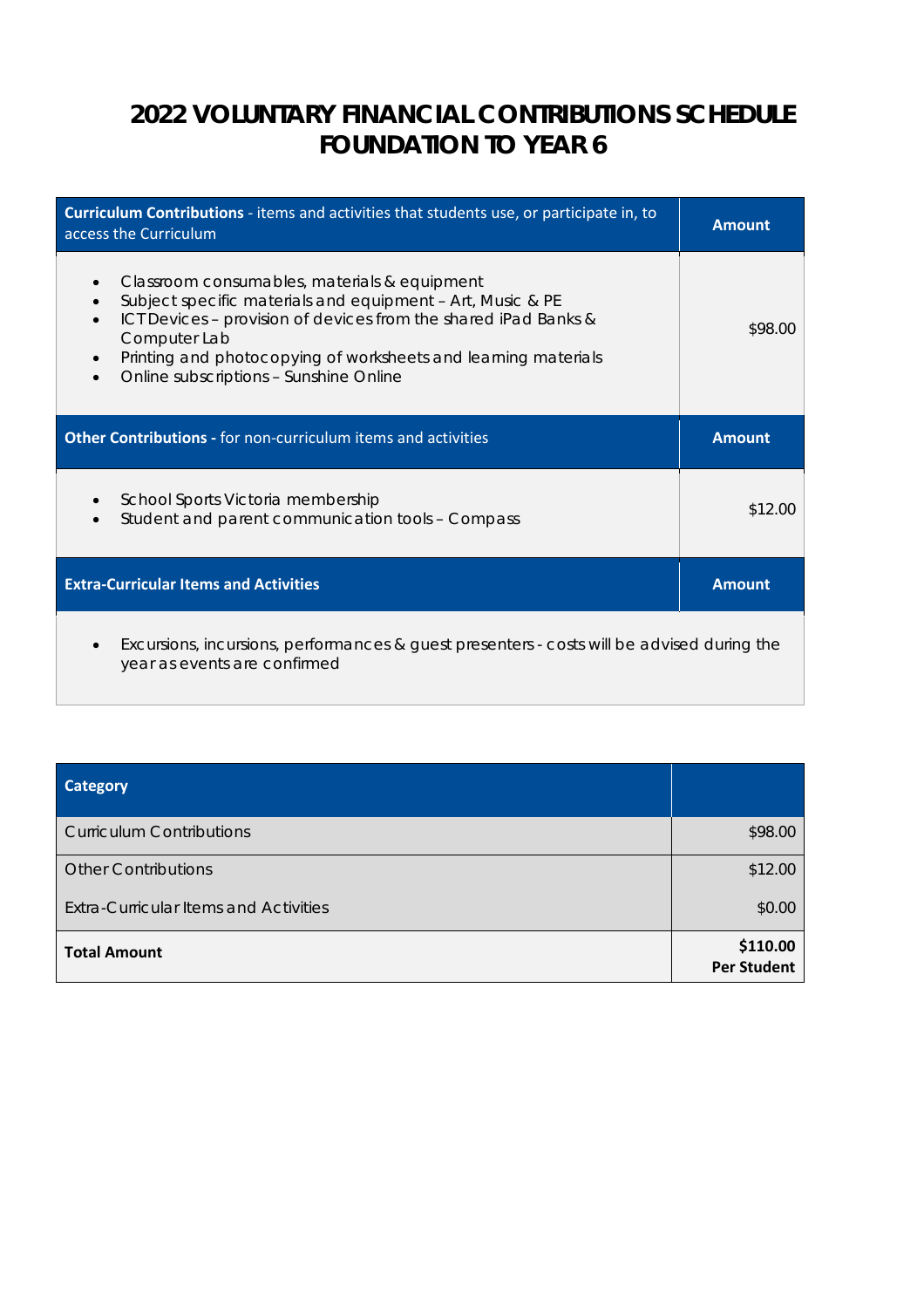# **2022 VOLUNTARY FINANCIAL CONTRIBUTIONS SCHEDULE FOUNDATION TO YEAR 6**

| Curriculum Contributions - items and activities that students use, or participate in, to<br>access the Curriculum                                                                                                                                                                                                      | <b>Amount</b> |
|------------------------------------------------------------------------------------------------------------------------------------------------------------------------------------------------------------------------------------------------------------------------------------------------------------------------|---------------|
| Classroom consumables, materials & equipment<br>Subject specific materials and equipment - Art, Music & PE<br>ICT Devices - provision of devices from the shared iPad Banks &<br>Computer Lab<br>Printing and photocopying of worksheets and learning materials<br>Online subscriptions - Sunshine Online<br>$\bullet$ | \$98.00       |
| <b>Other Contributions - for non-curriculum items and activities</b>                                                                                                                                                                                                                                                   | <b>Amount</b> |
| School Sports Victoria membership<br>Student and parent communication tools - Compass                                                                                                                                                                                                                                  | \$12.00       |
| <b>Extra-Curricular Items and Activities</b>                                                                                                                                                                                                                                                                           | <b>Amount</b> |
| Excursions, incursions, performances & guest presenters - costs will be advised during the<br>$\bullet$<br>year as events are confirmed                                                                                                                                                                                |               |

| <b>Category</b>                              |                                |
|----------------------------------------------|--------------------------------|
| <b>Curriculum Contributions</b>              | \$98.00                        |
| <b>Other Contributions</b>                   | \$12.00                        |
| <b>Extra-Curricular Items and Activities</b> | \$0.00                         |
| <b>Total Amount</b>                          | \$110.00<br><b>Per Student</b> |